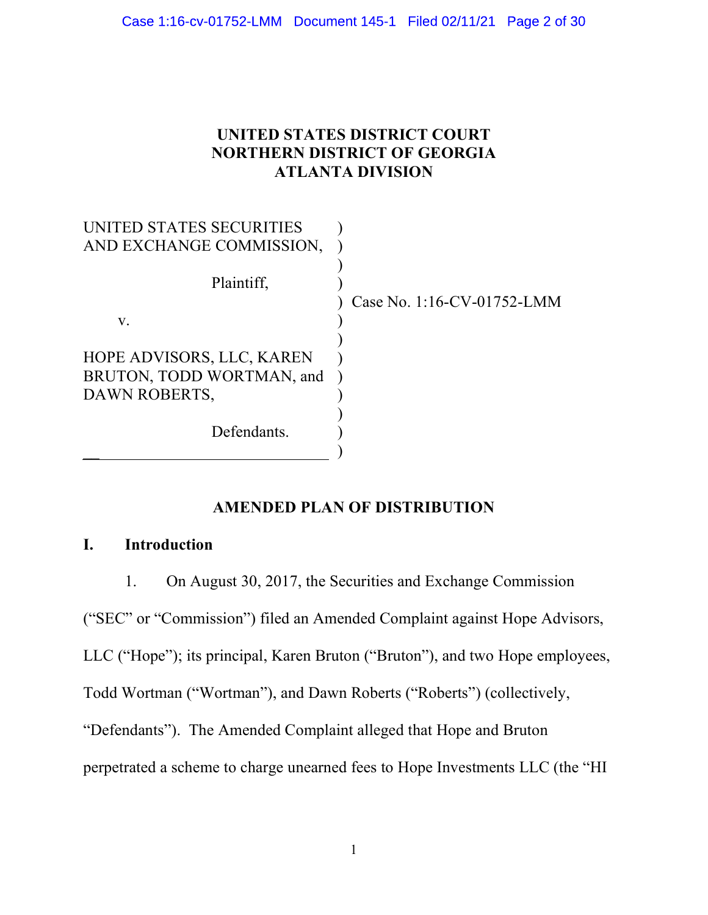# 1752-LMM Document 145-1 Filed 02/11/21 Page 2 of 30<br>UNITED STATES DISTRICT COURT<br>NORTHERN DISTRICT OF GEORGIA<br>ATLANTA DIVISION NORTHERN DISTRICT OF GEORGIA ATLANTA DIVISION

| UNITED STATES DISTRICT COURT<br><b>NORTHERN DISTRICT OF GEORGIA</b><br><b>ATLANTA DIVISION</b> |                            |
|------------------------------------------------------------------------------------------------|----------------------------|
| UNITED STATES SECURITIES<br>AND EXCHANGE COMMISSION,<br>Plaintiff,<br>V.                       | Case No. 1:16-CV-01752-LMM |
| HOPE ADVISORS, LLC, KAREN<br>BRUTON, TODD WORTMAN, and<br>DAWN ROBERTS,<br>Defendants.         |                            |

# AMENDED PLAN OF DISTRIBUTION

# I. Introduction

1. On August 30, 2017, the Securities and Exchange Commission

("SEC" or "Commission") filed an Amended Complaint against Hope Advisors,

LLC ("Hope"); its principal, Karen Bruton ("Bruton"), and two Hope employees,

Todd Wortman ("Wortman"), and Dawn Roberts ("Roberts") (collectively,

"Defendants"). The Amended Complaint alleged that Hope and Bruton

perpetrated a scheme to charge unearned fees to Hope Investments LLC (the "HI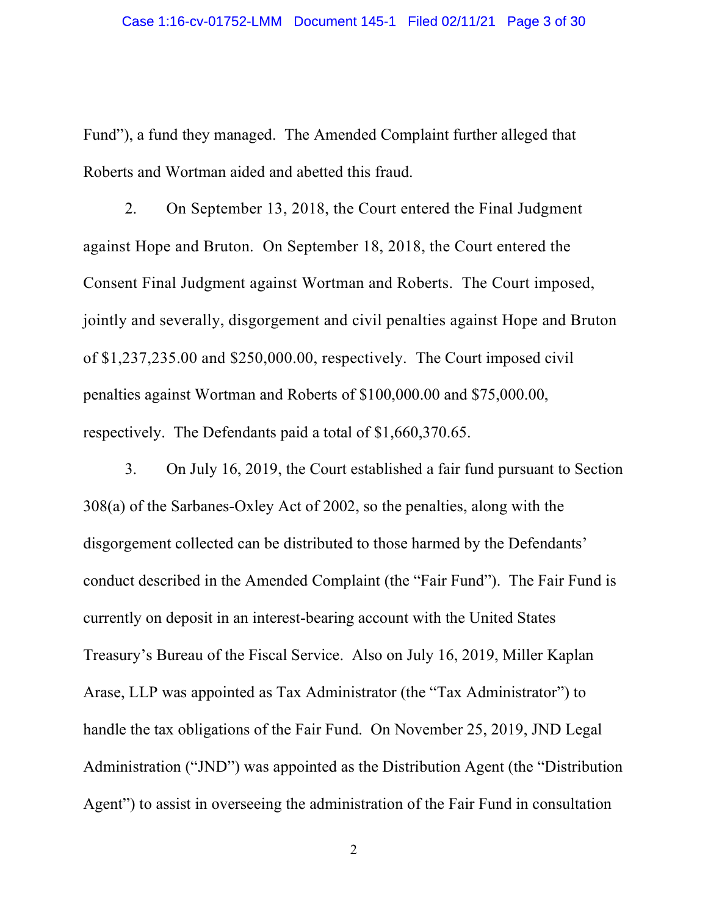Case 1:16-cv-01752-LMM Document 145-1 Filed 02/11/21 Page 3 of 30<br>Fund"), a fund they managed. The Amended Complaint further alleged that<br>Roberts and Wortman aided and abetted this fraud.<br>2. On September 13, 2018, the Cour Roberts and Wortman aided and abetted this fraud.

2. On September 13, 2018, the Court entered the Final Judgment against Hope and Bruton. On September 18, 2018, the Court entered the Consent Final Judgment against Wortman and Roberts. The Court imposed, jointly and severally, disgorgement and civil penalties against Hope and Bruton of \$1,237,235.00 and \$250,000.00, respectively. The Court imposed civil penalties against Wortman and Roberts of \$100,000.00 and \$75,000.00, respectively. The Defendants paid a total of \$1,660,370.65.

3. On July 16, 2019, the Court established a fair fund pursuant to Section 308(a) of the Sarbanes-Oxley Act of 2002, so the penalties, along with the disgorgement collected can be distributed to those harmed by the Defendants' conduct described in the Amended Complaint (the "Fair Fund"). The Fair Fund is currently on deposit in an interest-bearing account with the United States Treasury's Bureau of the Fiscal Service. Also on July 16, 2019, Miller Kaplan Arase, LLP was appointed as Tax Administrator (the "Tax Administrator") to handle the tax obligations of the Fair Fund. On November 25, 2019, JND Legal Administration ("JND") was appointed as the Distribution Agent (the "Distribution Agent") to assist in overseeing the administration of the Fair Fund in consultation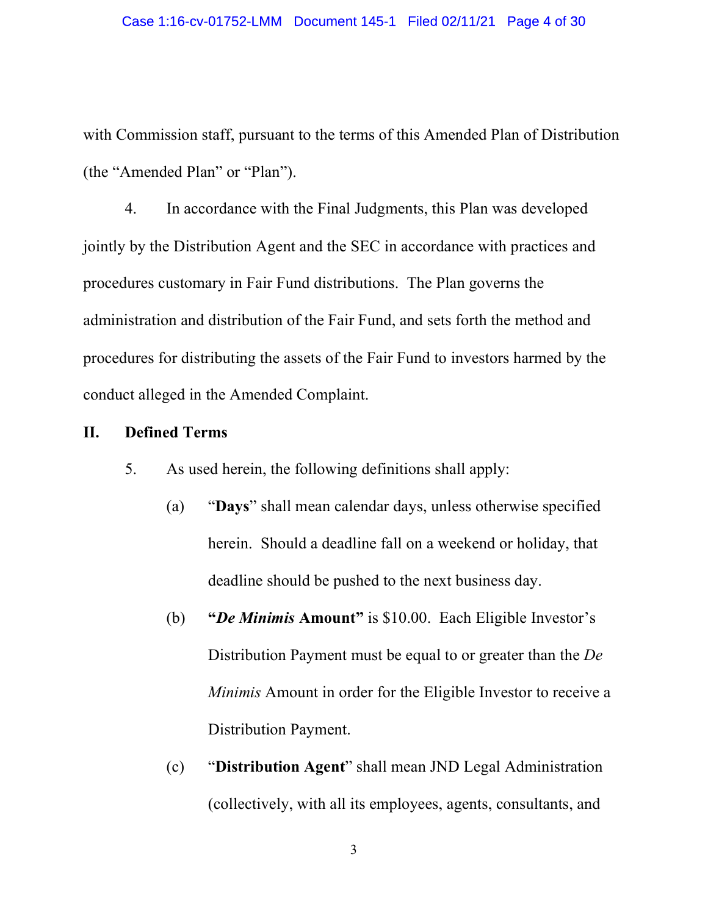with Commission staff, pursuant to the terms of this Amended Plan of Distribution (the "Amended Plan" or "Plan").

4. In accordance with the Final Judgments, this Plan was developed jointly by the Distribution Agent and the SEC in accordance with practices and procedures customary in Fair Fund distributions. The Plan governs the administration and distribution of the Fair Fund, and sets forth the method and procedures for distributing the assets of the Fair Fund to investors harmed by the conduct alleged in the Amended Complaint.

### II. Defined Terms

5. As used herein, the following definitions shall apply:

- (a) "Days" shall mean calendar days, unless otherwise specified herein. Should a deadline fall on a weekend or holiday, that deadline should be pushed to the next business day.
- (b) "De Minimis Amount" is \$10.00. Each Eligible Investor's Distribution Payment must be equal to or greater than the De Minimis Amount in order for the Eligible Investor to receive a Distribution Payment.
- (c) "Distribution Agent" shall mean JND Legal Administration (collectively, with all its employees, agents, consultants, and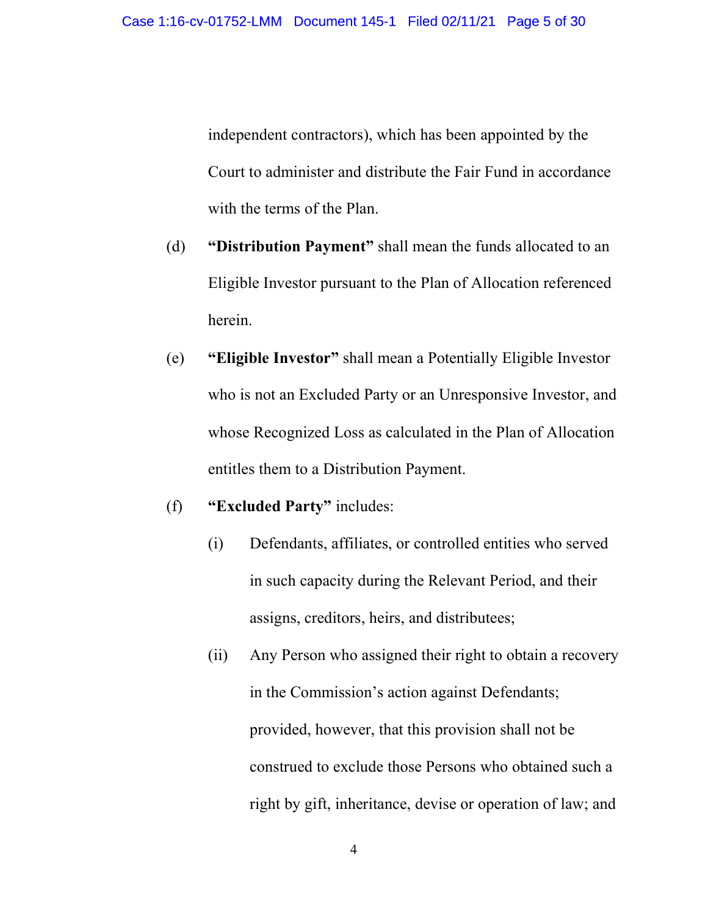independent contractors), which has been appointed by the Court to administer and distribute the Fair Fund in accordance with the terms of the Plan.

- (d) "Distribution Payment" shall mean the funds allocated to an Eligible Investor pursuant to the Plan of Allocation referenced herein.
- (e) "Eligible Investor" shall mean a Potentially Eligible Investor who is not an Excluded Party or an Unresponsive Investor, and whose Recognized Loss as calculated in the Plan of Allocation entitles them to a Distribution Payment.
- (f) "Excluded Party" includes:
	- (i) Defendants, affiliates, or controlled entities who served in such capacity during the Relevant Period, and their assigns, creditors, heirs, and distributees;
	- (ii) Any Person who assigned their right to obtain a recovery in the Commission's action against Defendants; provided, however, that this provision shall not be construed to exclude those Persons who obtained such a right by gift, inheritance, devise or operation of law; and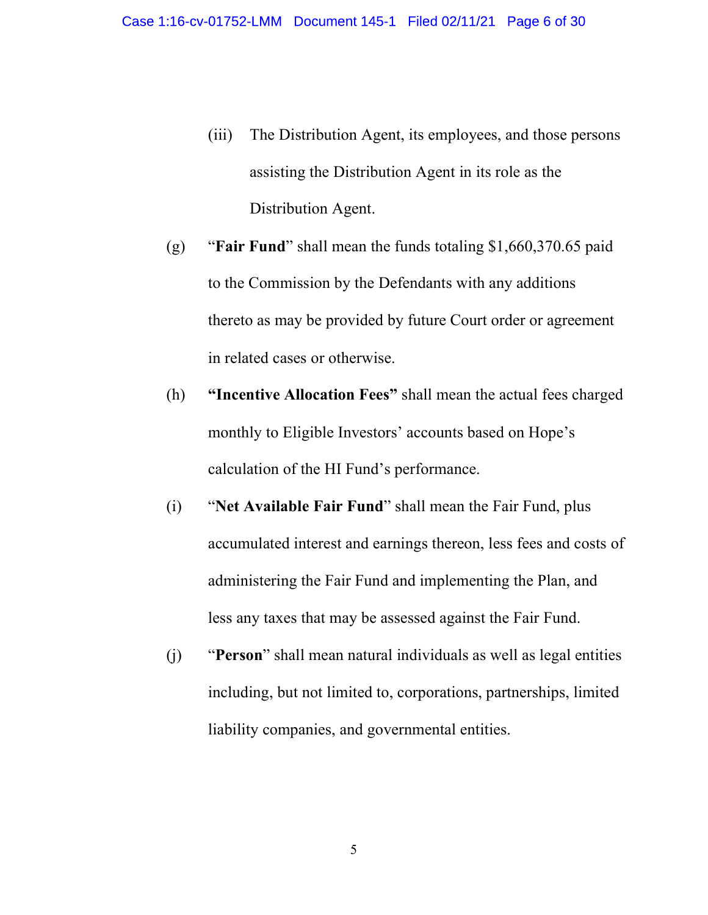- 01752-LMM Document 145-1 Filed 02/11/21 Page 6 of 30<br>(iii) The Distribution Agent, its employees, and those persons<br>assisting the Distribution Agent in its role as the<br>Distribution Agent. assisting the Distribution Agent in its role as the Distribution Agent.
- (g) "Fair Fund" shall mean the funds totaling \$1,660,370.65 paid to the Commission by the Defendants with any additions thereto as may be provided by future Court order or agreement in related cases or otherwise.
- (h) "Incentive Allocation Fees" shall mean the actual fees charged monthly to Eligible Investors' accounts based on Hope's calculation of the HI Fund's performance.
- (i) "Net Available Fair Fund" shall mean the Fair Fund, plus accumulated interest and earnings thereon, less fees and costs of administering the Fair Fund and implementing the Plan, and less any taxes that may be assessed against the Fair Fund.
- (j) "Person" shall mean natural individuals as well as legal entities including, but not limited to, corporations, partnerships, limited liability companies, and governmental entities.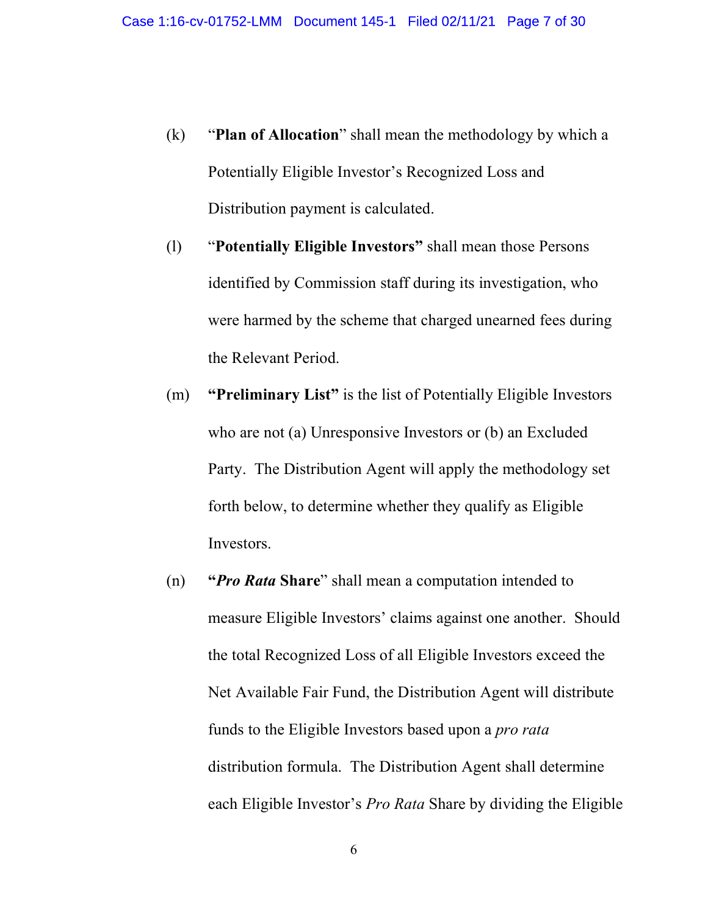- (k) "Plan of Allocation" shall mean the methodology by which a<br>
Potentially Eligible Investor's Recognized Loss and<br>
Distribution payment is calculated. Potentially Eligible Investor's Recognized Loss and Distribution payment is calculated.
- (l) "Potentially Eligible Investors" shall mean those Persons identified by Commission staff during its investigation, who were harmed by the scheme that charged unearned fees during the Relevant Period.
- (m) "Preliminary List" is the list of Potentially Eligible Investors who are not (a) Unresponsive Investors or (b) an Excluded Party. The Distribution Agent will apply the methodology set forth below, to determine whether they qualify as Eligible Investors.
- (n) "Pro Rata Share" shall mean a computation intended to measure Eligible Investors' claims against one another. Should the total Recognized Loss of all Eligible Investors exceed the Net Available Fair Fund, the Distribution Agent will distribute funds to the Eligible Investors based upon a pro rata distribution formula. The Distribution Agent shall determine each Eligible Investor's *Pro Rata* Share by dividing the Eligible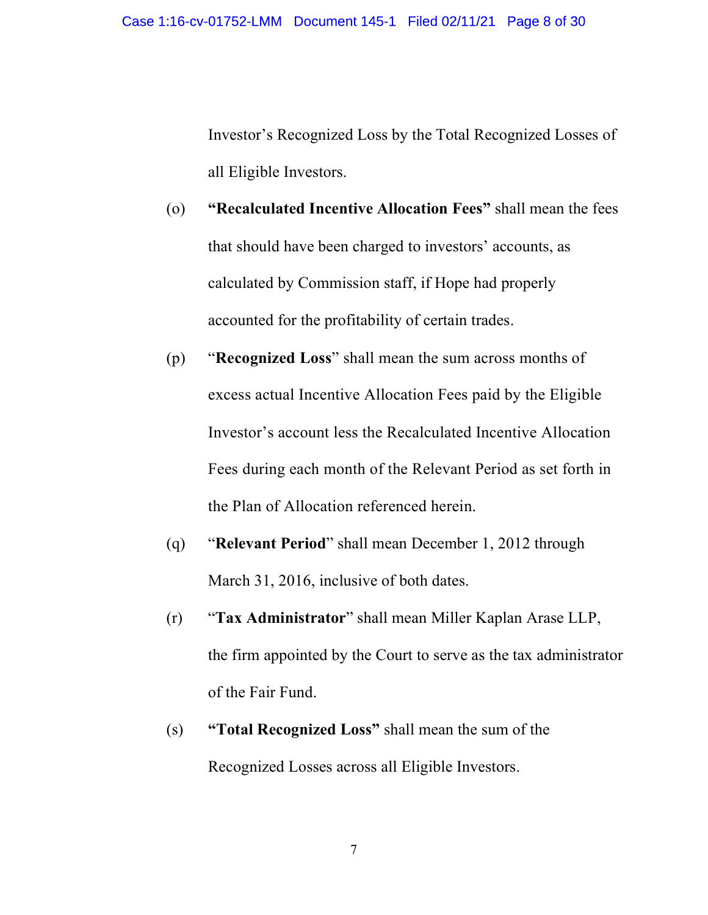O1752-LMM Document 145-1 Filed O2/11/21 Page 8 of 30<br>Investor's Recognized Loss by the Total Recognized Losses of<br>all Eligible Investors.<br>"Recalculated Incentive Allocation Fees" shall mean the fees all Eligible Investors.

- (o) "Recalculated Incentive Allocation Fees" shall mean the fees that should have been charged to investors' accounts, as calculated by Commission staff, if Hope had properly accounted for the profitability of certain trades.
- (p) "Recognized Loss" shall mean the sum across months of excess actual Incentive Allocation Fees paid by the Eligible Investor's account less the Recalculated Incentive Allocation Fees during each month of the Relevant Period as set forth in the Plan of Allocation referenced herein.
- (q) "Relevant Period" shall mean December 1, 2012 through March 31, 2016, inclusive of both dates.
- (r) "Tax Administrator" shall mean Miller Kaplan Arase LLP, the firm appointed by the Court to serve as the tax administrator of the Fair Fund.
- (s) "Total Recognized Loss" shall mean the sum of the Recognized Losses across all Eligible Investors.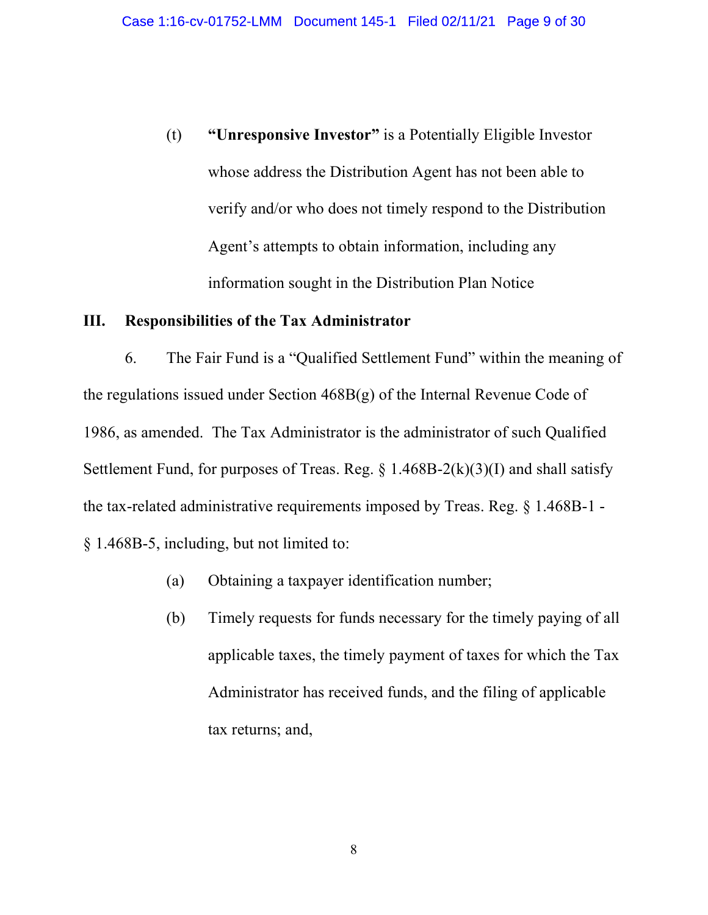(t) "Unresponsive Investor" is a Potentially Eligible Investor whose address the Distribution Agent has not been able to verify and/or who does not timely respond to the Distribution Agent's attempts to obtain information, including any information sought in the Distribution Plan Notice

## III. Responsibilities of the Tax Administrator

6. The Fair Fund is a "Qualified Settlement Fund" within the meaning of the regulations issued under Section  $468B(g)$  of the Internal Revenue Code of 1986, as amended. The Tax Administrator is the administrator of such Qualified Settlement Fund, for purposes of Treas. Reg.  $\S$  1.468B-2(k)(3)(I) and shall satisfy the tax-related administrative requirements imposed by Treas. Reg. § 1.468B-1 - § 1.468B-5, including, but not limited to:

- (a) Obtaining a taxpayer identification number;
- (b) Timely requests for funds necessary for the timely paying of all applicable taxes, the timely payment of taxes for which the Tax Administrator has received funds, and the filing of applicable tax returns; and,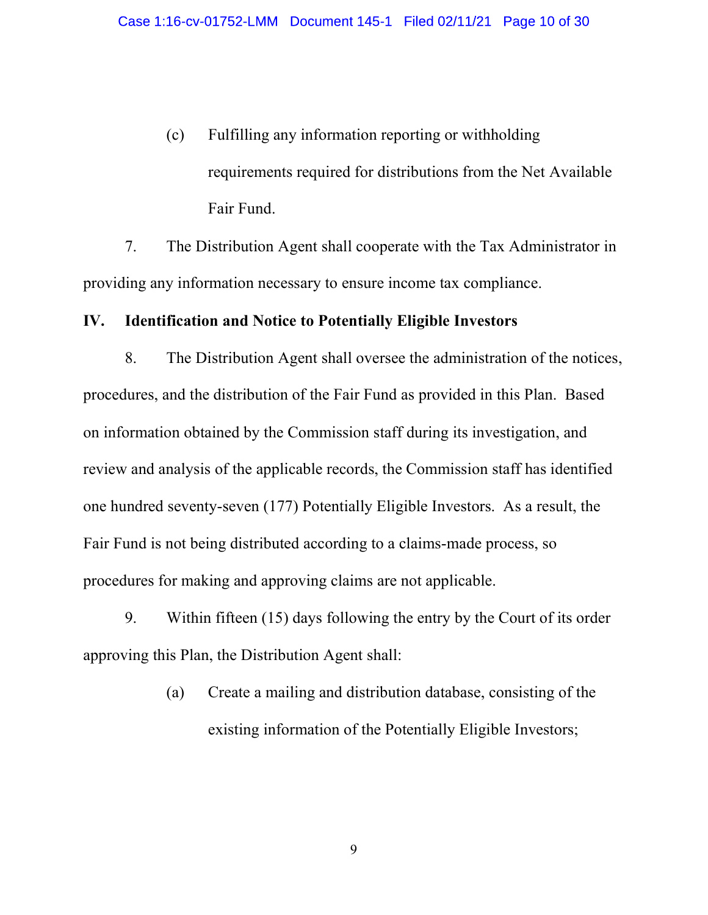16-cv-01752-LMM Document 145-1 Filed 02/11/21 Page 10 of 30<br>
(c) Fulfilling any information reporting or withholding<br>
requirements required for distributions from the Net Available<br>
Fair Fund. requirements required for distributions from the Net Available Fair Fund.

7. The Distribution Agent shall cooperate with the Tax Administrator in providing any information necessary to ensure income tax compliance.

# IV. Identification and Notice to Potentially Eligible Investors

8. The Distribution Agent shall oversee the administration of the notices, procedures, and the distribution of the Fair Fund as provided in this Plan. Based on information obtained by the Commission staff during its investigation, and review and analysis of the applicable records, the Commission staff has identified one hundred seventy-seven (177) Potentially Eligible Investors. As a result, the Fair Fund is not being distributed according to a claims-made process, so procedures for making and approving claims are not applicable.

9. Within fifteen (15) days following the entry by the Court of its order approving this Plan, the Distribution Agent shall:

> (a) Create a mailing and distribution database, consisting of the existing information of the Potentially Eligible Investors;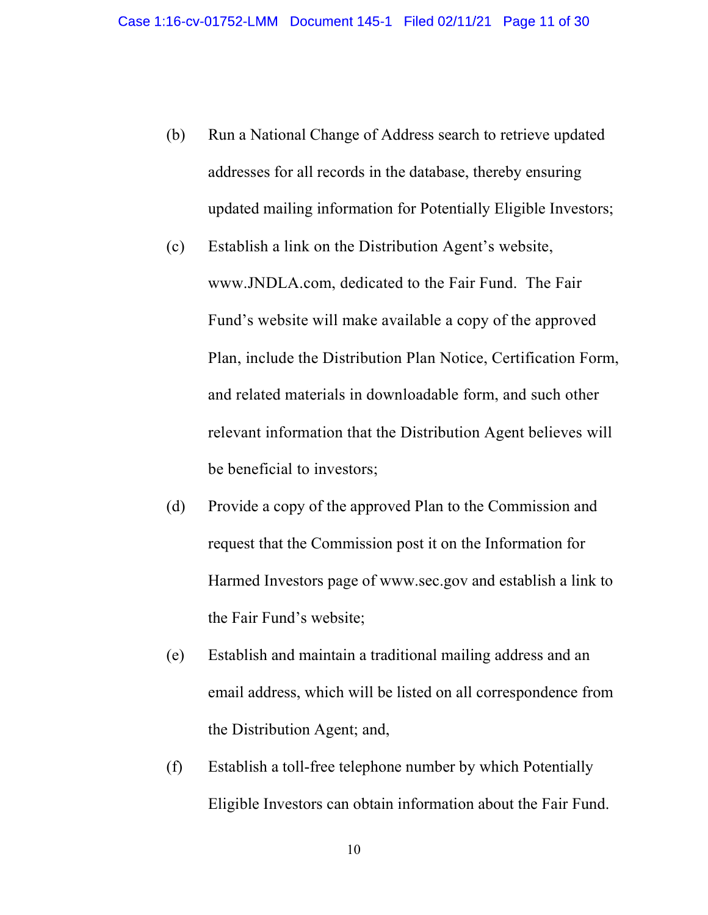- 16-cv-01752-LMM Document 145-1 Filed 02/11/21 Page 11 of 30<br>(b) Run a National Change of Address search to retrieve updated<br>addresses for all records in the database, thereby ensuring<br>updated mailing information for Potent addresses for all records in the database, thereby ensuring updated mailing information for Potentially Eligible Investors;
- (c) Establish a link on the Distribution Agent's website, www.JNDLA.com, dedicated to the Fair Fund. The Fair Fund's website will make available a copy of the approved Plan, include the Distribution Plan Notice, Certification Form, and related materials in downloadable form, and such other relevant information that the Distribution Agent believes will be beneficial to investors;
- (d) Provide a copy of the approved Plan to the Commission and request that the Commission post it on the Information for Harmed Investors page of www.sec.gov and establish a link to the Fair Fund's website;
- (e) Establish and maintain a traditional mailing address and an email address, which will be listed on all correspondence from the Distribution Agent; and,
- (f) Establish a toll-free telephone number by which Potentially Eligible Investors can obtain information about the Fair Fund.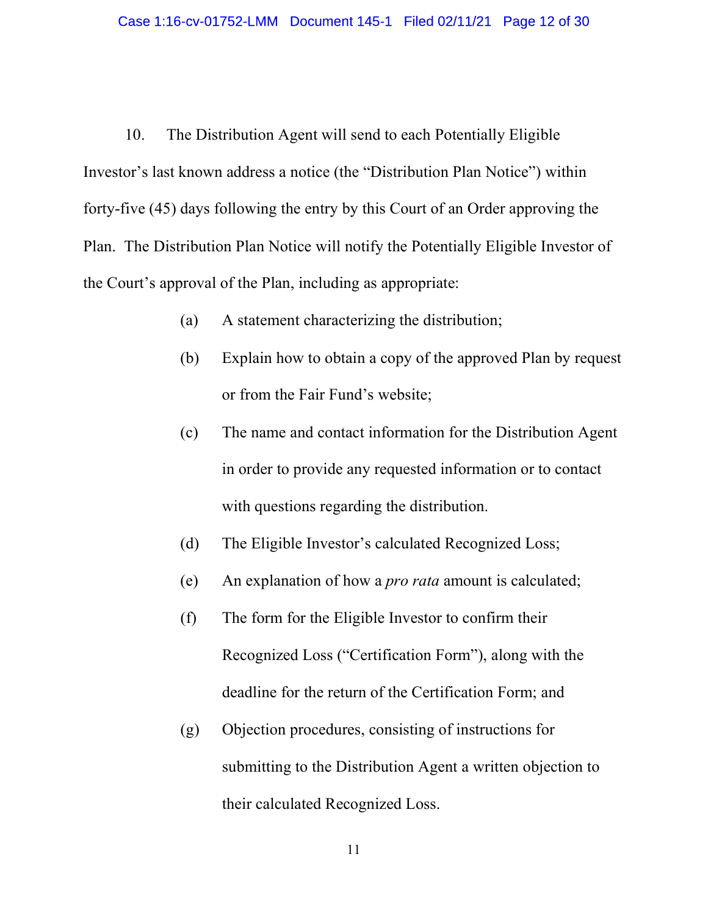20. The Distribution Agent will send to each Potentially Eligible<br>
10. The Distribution Agent will send to each Potentially Eligible<br>
10. The Distribution Agent will send to each Potentially Eligible<br>
10. The Distribution Investor's last known address a notice (the "Distribution Plan Notice") within forty-five (45) days following the entry by this Court of an Order approving the Plan. The Distribution Plan Notice will notify the Potentially Eligible Investor of the Court's approval of the Plan, including as appropriate:

- (a) A statement characterizing the distribution;
- (b) Explain how to obtain a copy of the approved Plan by request or from the Fair Fund's website;
- (c) The name and contact information for the Distribution Agent in order to provide any requested information or to contact with questions regarding the distribution.
- (d) The Eligible Investor's calculated Recognized Loss;
- (e) An explanation of how a pro rata amount is calculated;
- (f) The form for the Eligible Investor to confirm their Recognized Loss ("Certification Form"), along with the deadline for the return of the Certification Form; and
- (g) Objection procedures, consisting of instructions for submitting to the Distribution Agent a written objection to their calculated Recognized Loss.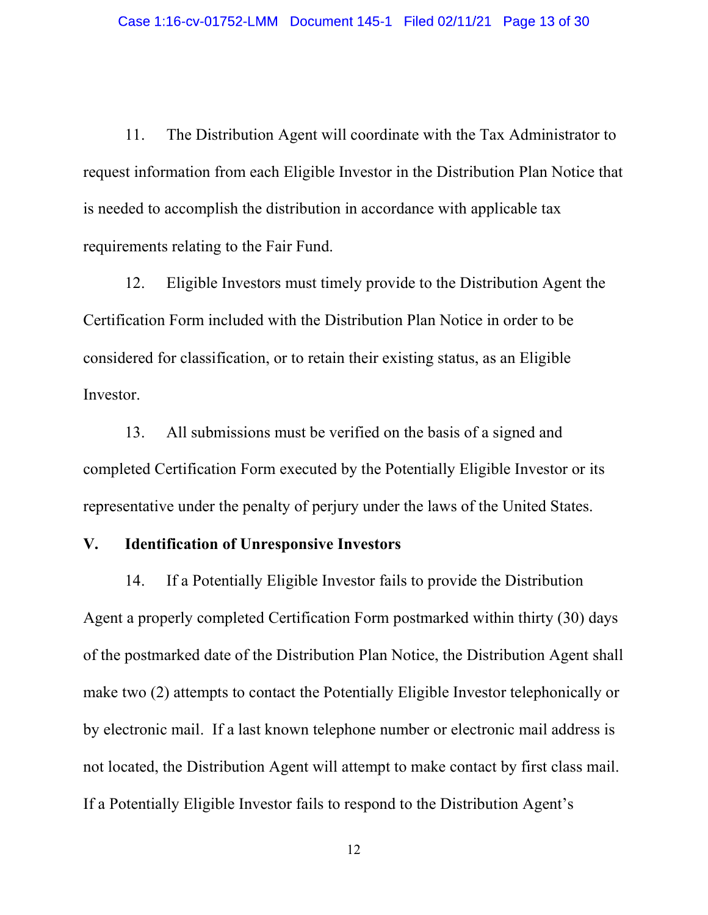2. Case 1:16-cv-01752-LMM Document 145-1 Filed 02/11/21 Page 13 of 30<br>
11. The Distribution Agent will coordinate with the Tax Administrator to<br>
11. The Distribution Agent will coordinate with the Tax Administrator to<br>
12. request information from each Eligible Investor in the Distribution Plan Notice that is needed to accomplish the distribution in accordance with applicable tax requirements relating to the Fair Fund.

12. Eligible Investors must timely provide to the Distribution Agent the Certification Form included with the Distribution Plan Notice in order to be considered for classification, or to retain their existing status, as an Eligible Investor.

13. All submissions must be verified on the basis of a signed and completed Certification Form executed by the Potentially Eligible Investor or its representative under the penalty of perjury under the laws of the United States.

## V. Identification of Unresponsive Investors

14. If a Potentially Eligible Investor fails to provide the Distribution Agent a properly completed Certification Form postmarked within thirty (30) days of the postmarked date of the Distribution Plan Notice, the Distribution Agent shall make two (2) attempts to contact the Potentially Eligible Investor telephonically or by electronic mail. If a last known telephone number or electronic mail address is not located, the Distribution Agent will attempt to make contact by first class mail. If a Potentially Eligible Investor fails to respond to the Distribution Agent's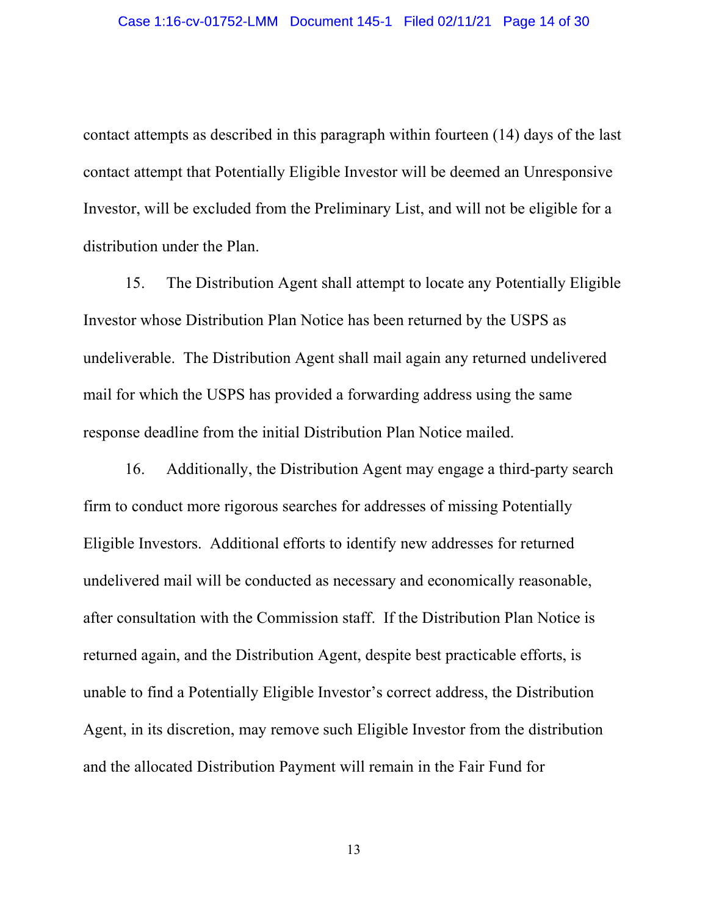Case 1:16-cv-01752-LMM Document 145-1 Filed 02/11/21 Page 14 of 30<br>
contact attempts as described in this paragraph within fourteen (14) days of the last<br>
contact attempt that Potentially Eligible Investor will be deemed a contact attempt that Potentially Eligible Investor will be deemed an Unresponsive Investor, will be excluded from the Preliminary List, and will not be eligible for a distribution under the Plan.

15. The Distribution Agent shall attempt to locate any Potentially Eligible Investor whose Distribution Plan Notice has been returned by the USPS as undeliverable. The Distribution Agent shall mail again any returned undelivered mail for which the USPS has provided a forwarding address using the same response deadline from the initial Distribution Plan Notice mailed.

16. Additionally, the Distribution Agent may engage a third-party search firm to conduct more rigorous searches for addresses of missing Potentially Eligible Investors. Additional efforts to identify new addresses for returned undelivered mail will be conducted as necessary and economically reasonable, after consultation with the Commission staff. If the Distribution Plan Notice is returned again, and the Distribution Agent, despite best practicable efforts, is unable to find a Potentially Eligible Investor's correct address, the Distribution Agent, in its discretion, may remove such Eligible Investor from the distribution and the allocated Distribution Payment will remain in the Fair Fund for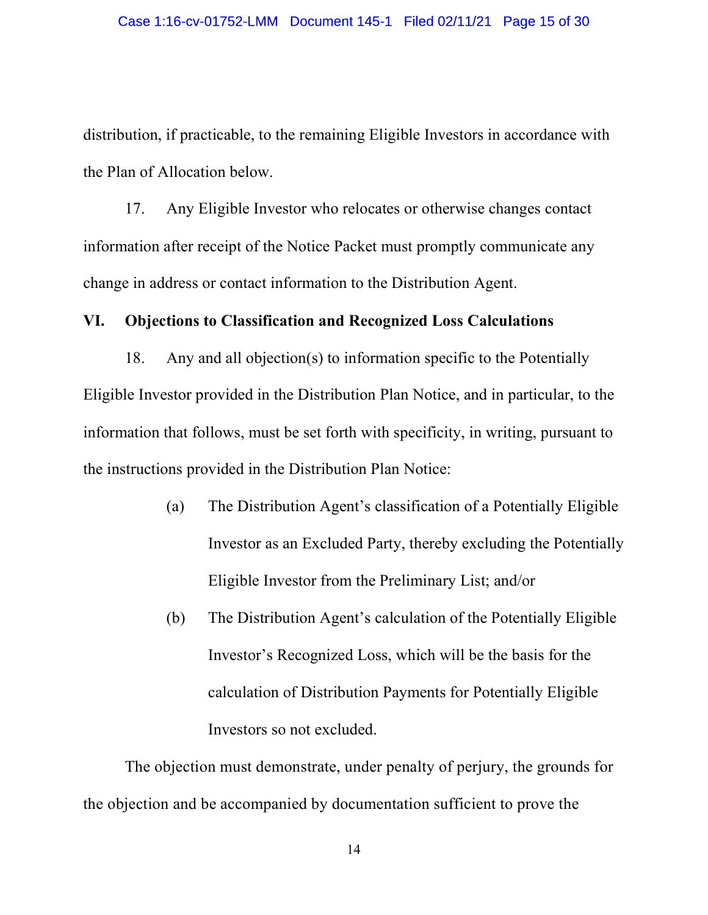distribution, if practicable, to the remaining Eligible Investors in accordance with the Plan of Allocation below.

17. Any Eligible Investor who relocates or otherwise changes contact information after receipt of the Notice Packet must promptly communicate any change in address or contact information to the Distribution Agent.

## VI. Objections to Classification and Recognized Loss Calculations

18. Any and all objection(s) to information specific to the Potentially Eligible Investor provided in the Distribution Plan Notice, and in particular, to the information that follows, must be set forth with specificity, in writing, pursuant to the instructions provided in the Distribution Plan Notice:

- (a) The Distribution Agent's classification of a Potentially Eligible Investor as an Excluded Party, thereby excluding the Potentially Eligible Investor from the Preliminary List; and/or
- (b) The Distribution Agent's calculation of the Potentially Eligible Investor's Recognized Loss, which will be the basis for the calculation of Distribution Payments for Potentially Eligible Investors so not excluded.

The objection must demonstrate, under penalty of perjury, the grounds for the objection and be accompanied by documentation sufficient to prove the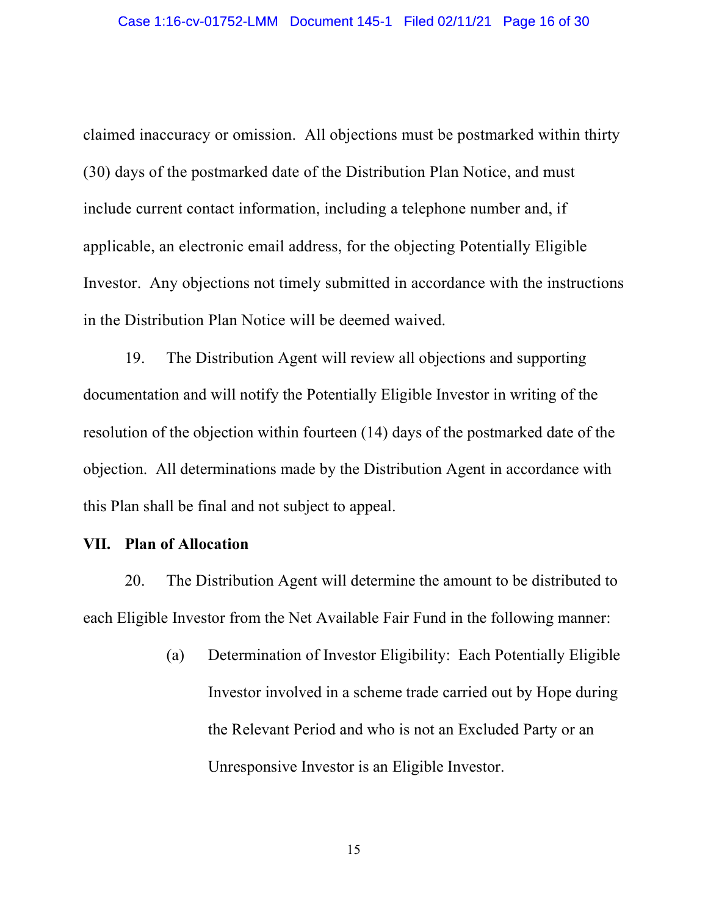claimed inaccuracy or omission. All objections must be postmarked within thirty (30) days of the postmarked date of the Distribution Plan Notice, and must include current contact information, including a telephone number and, if applicable, an electronic email address, for the objecting Potentially Eligible Investor. Any objections not timely submitted in accordance with the instructions in the Distribution Plan Notice will be deemed waived.

19. The Distribution Agent will review all objections and supporting documentation and will notify the Potentially Eligible Investor in writing of the resolution of the objection within fourteen (14) days of the postmarked date of the objection. All determinations made by the Distribution Agent in accordance with this Plan shall be final and not subject to appeal.

### VII. Plan of Allocation

20. The Distribution Agent will determine the amount to be distributed to each Eligible Investor from the Net Available Fair Fund in the following manner:

> (a) Determination of Investor Eligibility: Each Potentially Eligible Investor involved in a scheme trade carried out by Hope during the Relevant Period and who is not an Excluded Party or an Unresponsive Investor is an Eligible Investor.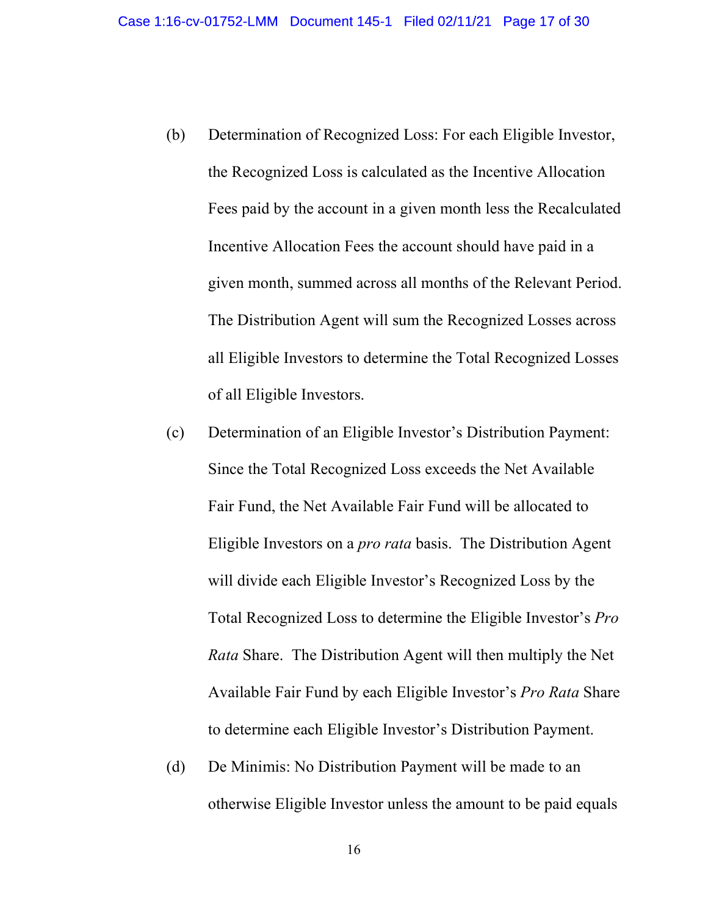- 16-cv-01752-LMM Document 145-1 Filed 02/11/21 Page 17 of 30<br>(b) Determination of Recognized Loss: For each Eligible Investor,<br>the Recognized Loss is calculated as the Incentive Allocation<br>Fees paid by the account in a give the Recognized Loss is calculated as the Incentive Allocation Fees paid by the account in a given month less the Recalculated Incentive Allocation Fees the account should have paid in a given month, summed across all months of the Relevant Period. The Distribution Agent will sum the Recognized Losses across all Eligible Investors to determine the Total Recognized Losses of all Eligible Investors.
- (c) Determination of an Eligible Investor's Distribution Payment: Since the Total Recognized Loss exceeds the Net Available Fair Fund, the Net Available Fair Fund will be allocated to Eligible Investors on a *pro rata* basis. The Distribution Agent will divide each Eligible Investor's Recognized Loss by the Total Recognized Loss to determine the Eligible Investor's Pro Rata Share. The Distribution Agent will then multiply the Net Available Fair Fund by each Eligible Investor's Pro Rata Share to determine each Eligible Investor's Distribution Payment.
- (d) De Minimis: No Distribution Payment will be made to an otherwise Eligible Investor unless the amount to be paid equals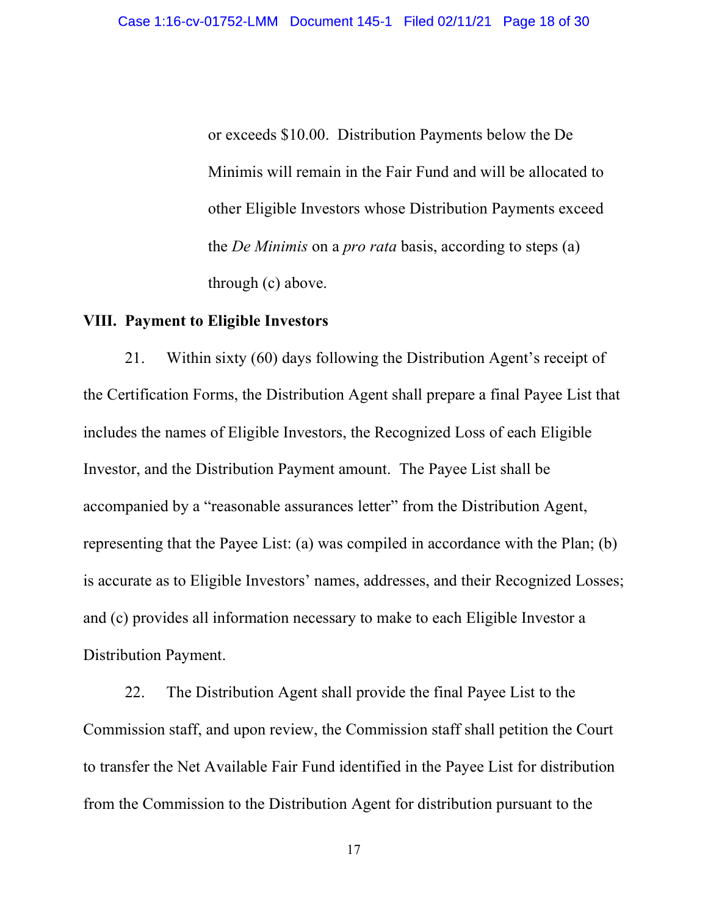or exceeds \$10.00. Distribution Payments below the De Minimis will remain in the Fair Fund and will be allocated to other Eligible Investors whose Distribution Payments exceed the De Minimis on a pro rata basis, according to steps (a) through (c) above.

#### VIII. Payment to Eligible Investors

21. Within sixty (60) days following the Distribution Agent's receipt of the Certification Forms, the Distribution Agent shall prepare a final Payee List that includes the names of Eligible Investors, the Recognized Loss of each Eligible Investor, and the Distribution Payment amount. The Payee List shall be accompanied by a "reasonable assurances letter" from the Distribution Agent, representing that the Payee List: (a) was compiled in accordance with the Plan; (b) is accurate as to Eligible Investors' names, addresses, and their Recognized Losses; and (c) provides all information necessary to make to each Eligible Investor a Distribution Payment.

22. The Distribution Agent shall provide the final Payee List to the Commission staff, and upon review, the Commission staff shall petition the Court to transfer the Net Available Fair Fund identified in the Payee List for distribution from the Commission to the Distribution Agent for distribution pursuant to the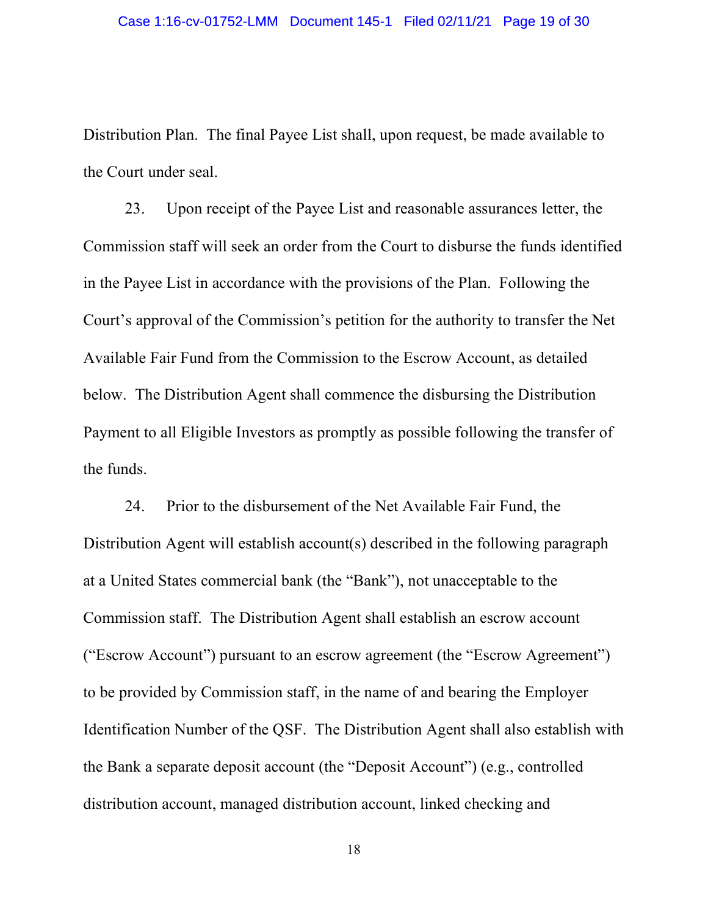Distribution Plan. The final Payee List shall, upon request, be made available to the Court under seal.

23. Upon receipt of the Payee List and reasonable assurances letter, the Commission staff will seek an order from the Court to disburse the funds identified in the Payee List in accordance with the provisions of the Plan. Following the Court's approval of the Commission's petition for the authority to transfer the Net Available Fair Fund from the Commission to the Escrow Account, as detailed below. The Distribution Agent shall commence the disbursing the Distribution Payment to all Eligible Investors as promptly as possible following the transfer of the funds.

24. Prior to the disbursement of the Net Available Fair Fund, the Distribution Agent will establish account(s) described in the following paragraph at a United States commercial bank (the "Bank"), not unacceptable to the Commission staff. The Distribution Agent shall establish an escrow account ("Escrow Account") pursuant to an escrow agreement (the "Escrow Agreement") to be provided by Commission staff, in the name of and bearing the Employer Identification Number of the QSF. The Distribution Agent shall also establish with the Bank a separate deposit account (the "Deposit Account") (e.g., controlled distribution account, managed distribution account, linked checking and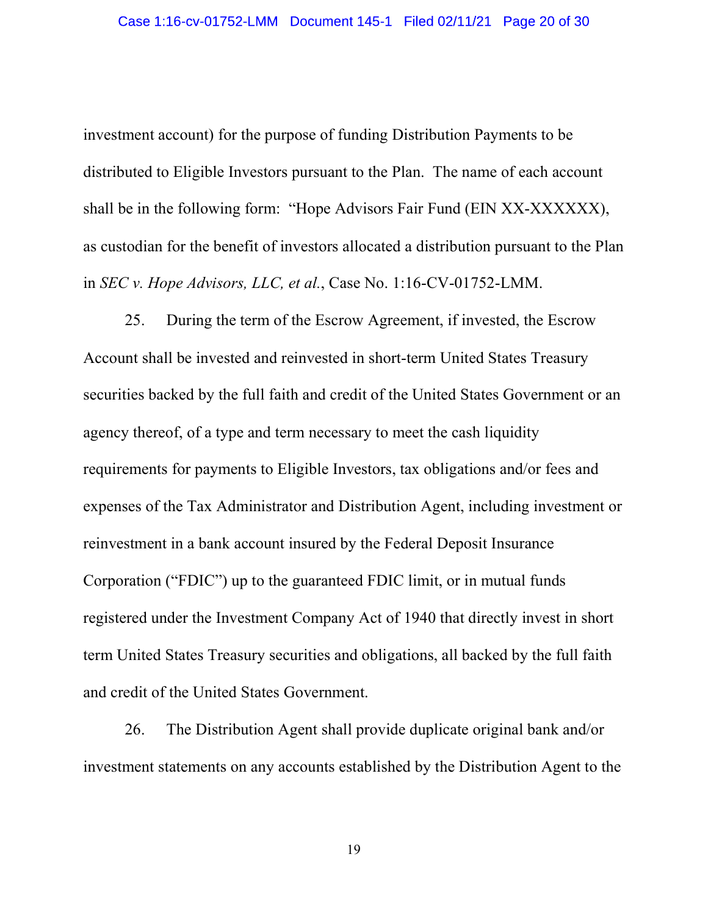investment account) for the purpose of funding Distribution Payments to be distributed to Eligible Investors pursuant to the Plan. The name of each account shall be in the following form: "Hope Advisors Fair Fund (EIN XX-XXXXXX), as custodian for the benefit of investors allocated a distribution pursuant to the Plan in SEC v. Hope Advisors, LLC, et al., Case No. 1:16-CV-01752-LMM.

25. During the term of the Escrow Agreement, if invested, the Escrow Account shall be invested and reinvested in short-term United States Treasury securities backed by the full faith and credit of the United States Government or an agency thereof, of a type and term necessary to meet the cash liquidity requirements for payments to Eligible Investors, tax obligations and/or fees and expenses of the Tax Administrator and Distribution Agent, including investment or reinvestment in a bank account insured by the Federal Deposit Insurance Corporation ("FDIC") up to the guaranteed FDIC limit, or in mutual funds registered under the Investment Company Act of 1940 that directly invest in short term United States Treasury securities and obligations, all backed by the full faith and credit of the United States Government.

26. The Distribution Agent shall provide duplicate original bank and/or investment statements on any accounts established by the Distribution Agent to the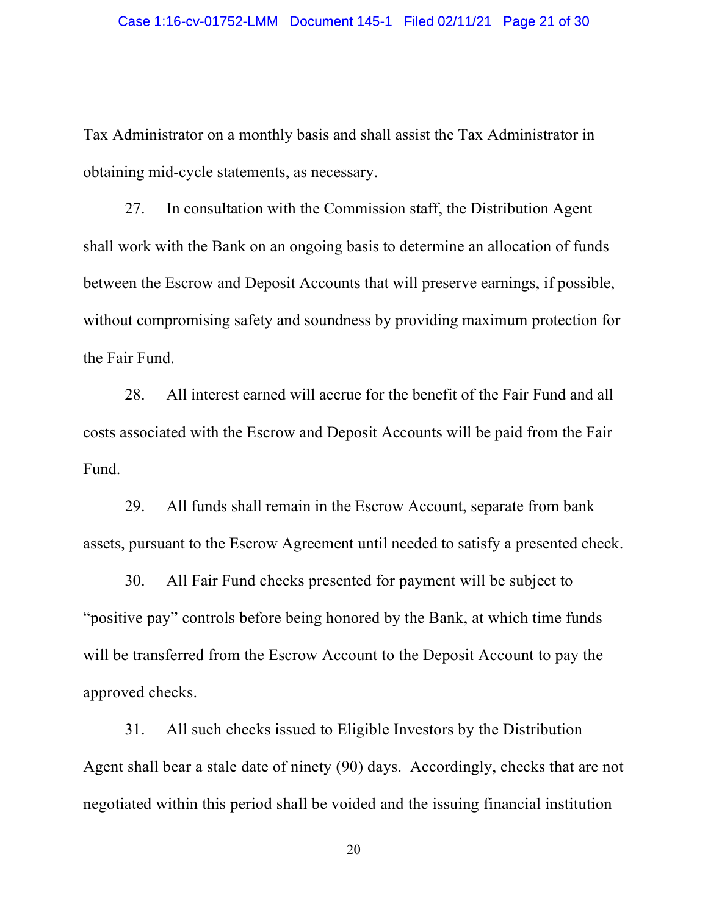Tax Administrator on a monthly basis and shall assist the Tax Administrator in obtaining mid-cycle statements, as necessary.

27. In consultation with the Commission staff, the Distribution Agent shall work with the Bank on an ongoing basis to determine an allocation of funds between the Escrow and Deposit Accounts that will preserve earnings, if possible, without compromising safety and soundness by providing maximum protection for the Fair Fund.

28. All interest earned will accrue for the benefit of the Fair Fund and all costs associated with the Escrow and Deposit Accounts will be paid from the Fair Fund.

29. All funds shall remain in the Escrow Account, separate from bank assets, pursuant to the Escrow Agreement until needed to satisfy a presented check.

30. All Fair Fund checks presented for payment will be subject to "positive pay" controls before being honored by the Bank, at which time funds will be transferred from the Escrow Account to the Deposit Account to pay the approved checks.

31. All such checks issued to Eligible Investors by the Distribution Agent shall bear a stale date of ninety (90) days. Accordingly, checks that are not negotiated within this period shall be voided and the issuing financial institution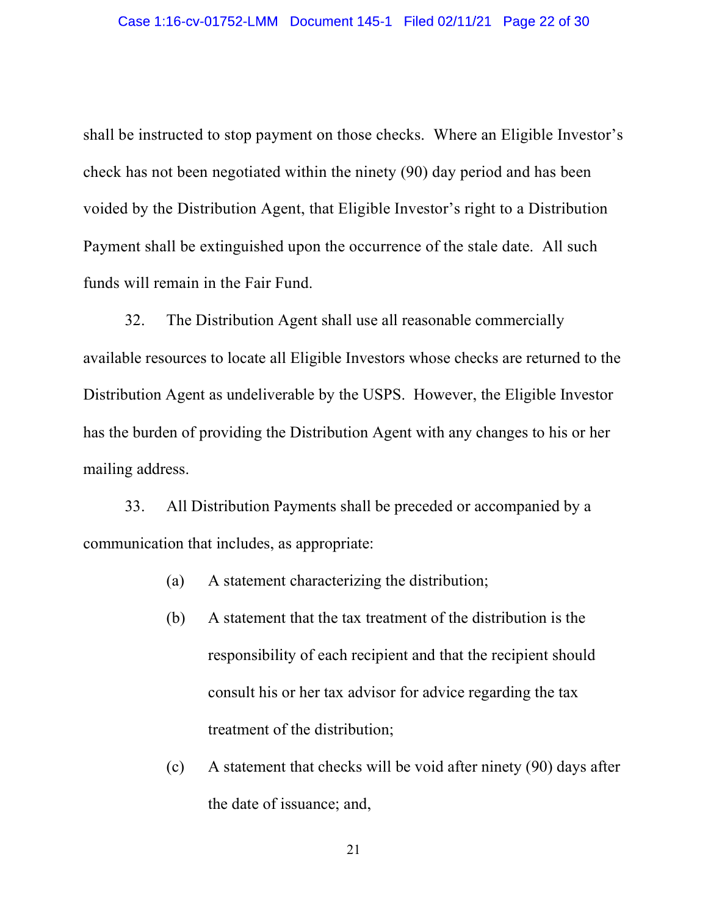shall be instructed to stop payment on those checks. Where an Eligible Investor's check has not been negotiated within the ninety (90) day period and has been voided by the Distribution Agent, that Eligible Investor's right to a Distribution Payment shall be extinguished upon the occurrence of the stale date. All such funds will remain in the Fair Fund.

32. The Distribution Agent shall use all reasonable commercially available resources to locate all Eligible Investors whose checks are returned to the Distribution Agent as undeliverable by the USPS. However, the Eligible Investor has the burden of providing the Distribution Agent with any changes to his or her mailing address.

33. All Distribution Payments shall be preceded or accompanied by a communication that includes, as appropriate:

- (a) A statement characterizing the distribution;
- (b) A statement that the tax treatment of the distribution is the responsibility of each recipient and that the recipient should consult his or her tax advisor for advice regarding the tax treatment of the distribution;
- (c) A statement that checks will be void after ninety (90) days after the date of issuance; and,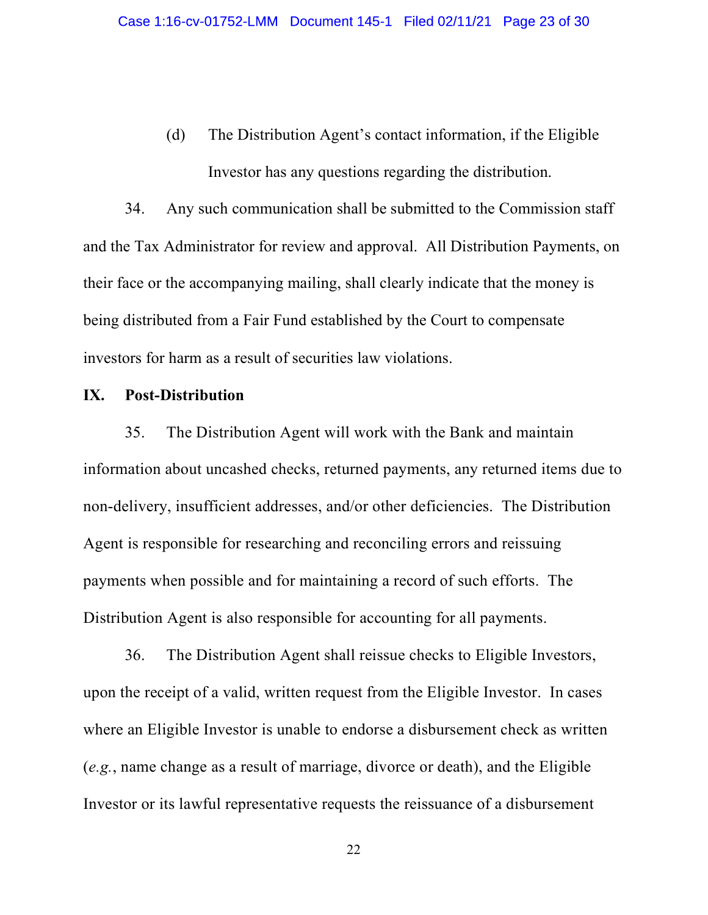16-cv-01752-LMM Document 145-1 Filed 02/11/21 Page 23 of 30<br>
(d) The Distribution Agent's contact information, if the Eligible<br>
Investor has any questions regarding the distribution.<br>
Any such communication shall be submit Investor has any questions regarding the distribution.

34. Any such communication shall be submitted to the Commission staff and the Tax Administrator for review and approval. All Distribution Payments, on their face or the accompanying mailing, shall clearly indicate that the money is being distributed from a Fair Fund established by the Court to compensate investors for harm as a result of securities law violations.

#### IX. Post-Distribution

35. The Distribution Agent will work with the Bank and maintain information about uncashed checks, returned payments, any returned items due to non-delivery, insufficient addresses, and/or other deficiencies. The Distribution Agent is responsible for researching and reconciling errors and reissuing payments when possible and for maintaining a record of such efforts. The Distribution Agent is also responsible for accounting for all payments.

36. The Distribution Agent shall reissue checks to Eligible Investors, upon the receipt of a valid, written request from the Eligible Investor. In cases where an Eligible Investor is unable to endorse a disbursement check as written (e.g., name change as a result of marriage, divorce or death), and the Eligible Investor or its lawful representative requests the reissuance of a disbursement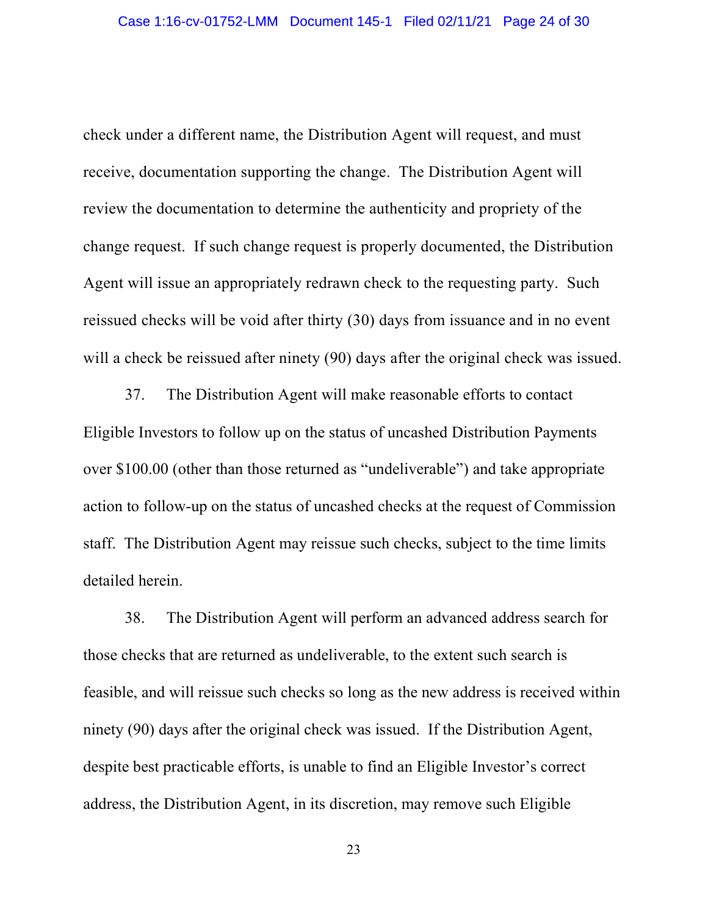check under a different name, the Distribution Agent will request, and must receive, documentation supporting the change. The Distribution Agent will review the documentation to determine the authenticity and propriety of the change request. If such change request is properly documented, the Distribution Agent will issue an appropriately redrawn check to the requesting party. Such reissued checks will be void after thirty (30) days from issuance and in no event will a check be reissued after ninety (90) days after the original check was issued.

37. The Distribution Agent will make reasonable efforts to contact Eligible Investors to follow up on the status of uncashed Distribution Payments over \$100.00 (other than those returned as "undeliverable") and take appropriate action to follow-up on the status of uncashed checks at the request of Commission staff. The Distribution Agent may reissue such checks, subject to the time limits detailed herein.

38. The Distribution Agent will perform an advanced address search for those checks that are returned as undeliverable, to the extent such search is feasible, and will reissue such checks so long as the new address is received within ninety (90) days after the original check was issued. If the Distribution Agent, despite best practicable efforts, is unable to find an Eligible Investor's correct address, the Distribution Agent, in its discretion, may remove such Eligible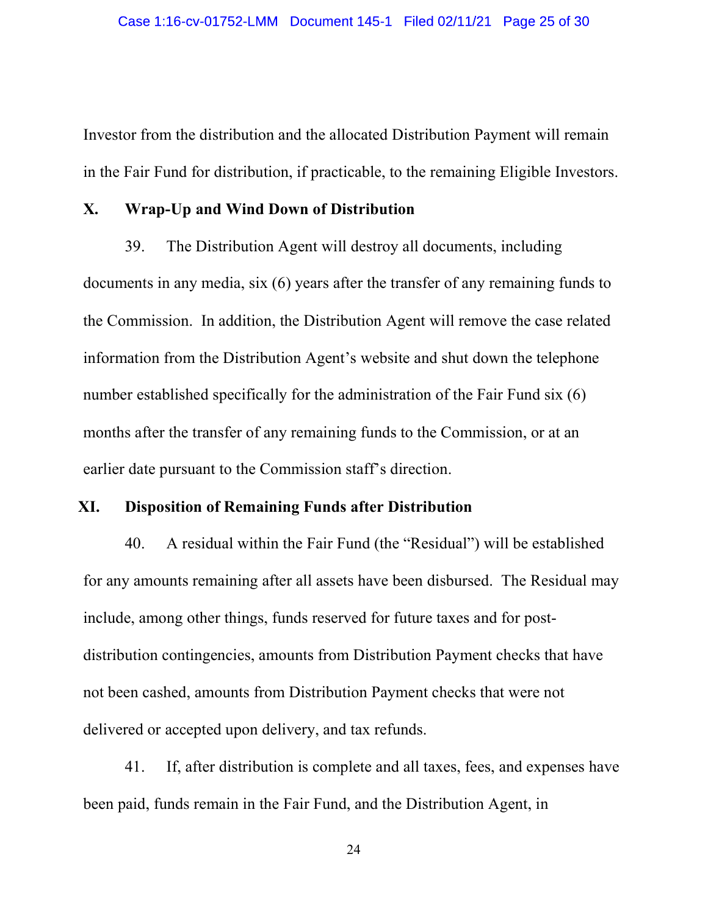Investor from the distribution and the allocated Distribution Payment will remain in the Fair Fund for distribution, if practicable, to the remaining Eligible Investors.

#### X. Wrap-Up and Wind Down of Distribution

39. The Distribution Agent will destroy all documents, including documents in any media, six (6) years after the transfer of any remaining funds to the Commission. In addition, the Distribution Agent will remove the case related information from the Distribution Agent's website and shut down the telephone number established specifically for the administration of the Fair Fund six (6) months after the transfer of any remaining funds to the Commission, or at an earlier date pursuant to the Commission staff's direction.

## XI. Disposition of Remaining Funds after Distribution

40. A residual within the Fair Fund (the "Residual") will be established for any amounts remaining after all assets have been disbursed. The Residual may include, among other things, funds reserved for future taxes and for postdistribution contingencies, amounts from Distribution Payment checks that have not been cashed, amounts from Distribution Payment checks that were not delivered or accepted upon delivery, and tax refunds.

41. If, after distribution is complete and all taxes, fees, and expenses have been paid, funds remain in the Fair Fund, and the Distribution Agent, in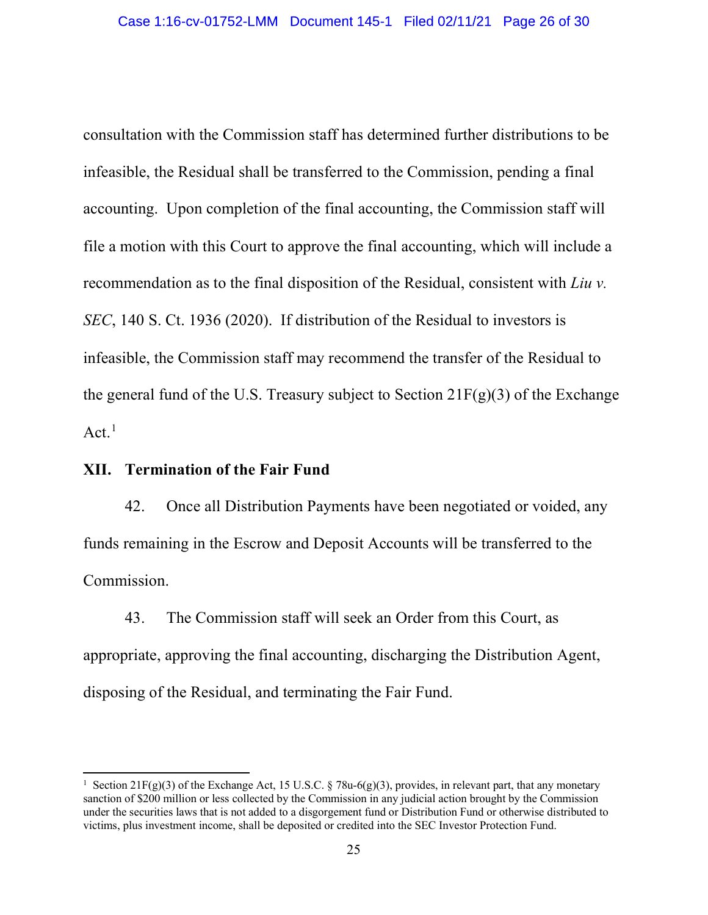consultation with the Commission staff has determined further distributions to be infeasible, the Residual shall be transferred to the Commission, pending a final accounting. Upon completion of the final accounting, the Commission staff will file a motion with this Court to approve the final accounting, which will include a recommendation as to the final disposition of the Residual, consistent with Liu v. SEC, 140 S. Ct. 1936 (2020). If distribution of the Residual to investors is infeasible, the Commission staff may recommend the transfer of the Residual to the general fund of the U.S. Treasury subject to Section  $21F(g)(3)$  of the Exchange  $Act.$ <sup>1</sup>

## XII. Termination of the Fair Fund

42. Once all Distribution Payments have been negotiated or voided, any funds remaining in the Escrow and Deposit Accounts will be transferred to the Commission.

43. The Commission staff will seek an Order from this Court, as appropriate, approving the final accounting, discharging the Distribution Agent, disposing of the Residual, and terminating the Fair Fund.

<sup>&</sup>lt;sup>1</sup> Section 21F(g)(3) of the Exchange Act, 15 U.S.C. § 78u-6(g)(3), provides, in relevant part, that any monetary sanction of \$200 million or less collected by the Commission in any judicial action brought by the Commission under the securities laws that is not added to a disgorgement fund or Distribution Fund or otherwise distributed to victims, plus investment income, shall be deposited or credited into the SEC Investor Protection Fund.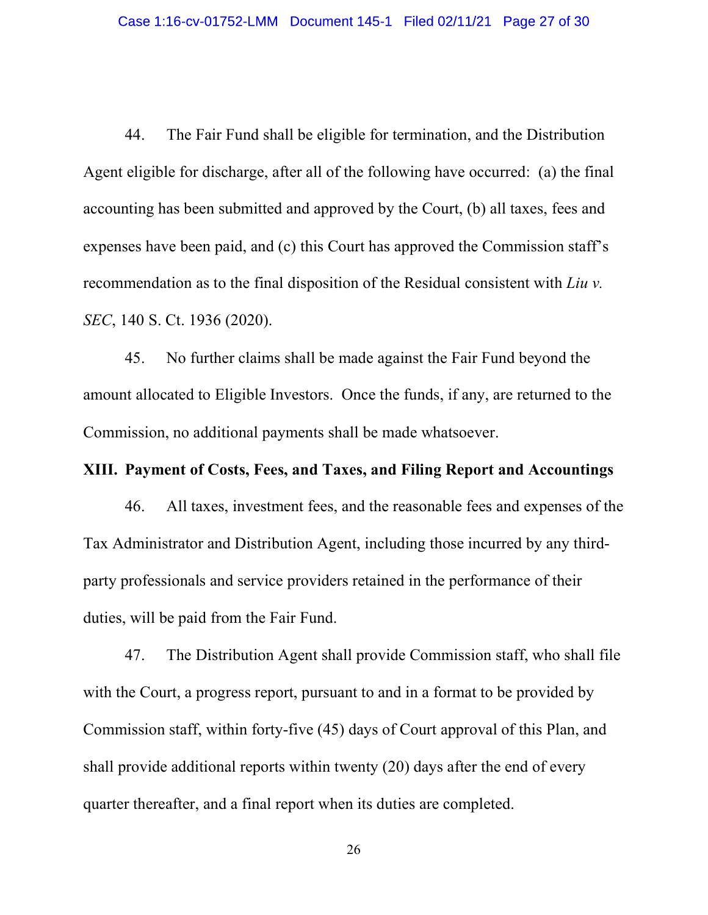22.11/41 Page 27 of 30<br>44. The Fair Fund shall be eligible for termination, and the Distribution<br>6.14. The Fair Fund shall be eligible for termination, and the Distribution<br>6.14. The Fair Fund shall be eligible for termina Agent eligible for discharge, after all of the following have occurred: (a) the final accounting has been submitted and approved by the Court, (b) all taxes, fees and expenses have been paid, and (c) this Court has approved the Commission staff's recommendation as to the final disposition of the Residual consistent with Liu v. SEC, 140 S. Ct. 1936 (2020).

45. No further claims shall be made against the Fair Fund beyond the amount allocated to Eligible Investors. Once the funds, if any, are returned to the Commission, no additional payments shall be made whatsoever.

#### XIII. Payment of Costs, Fees, and Taxes, and Filing Report and Accountings

46. All taxes, investment fees, and the reasonable fees and expenses of the Tax Administrator and Distribution Agent, including those incurred by any thirdparty professionals and service providers retained in the performance of their duties, will be paid from the Fair Fund.

47. The Distribution Agent shall provide Commission staff, who shall file with the Court, a progress report, pursuant to and in a format to be provided by Commission staff, within forty-five (45) days of Court approval of this Plan, and shall provide additional reports within twenty (20) days after the end of every quarter thereafter, and a final report when its duties are completed.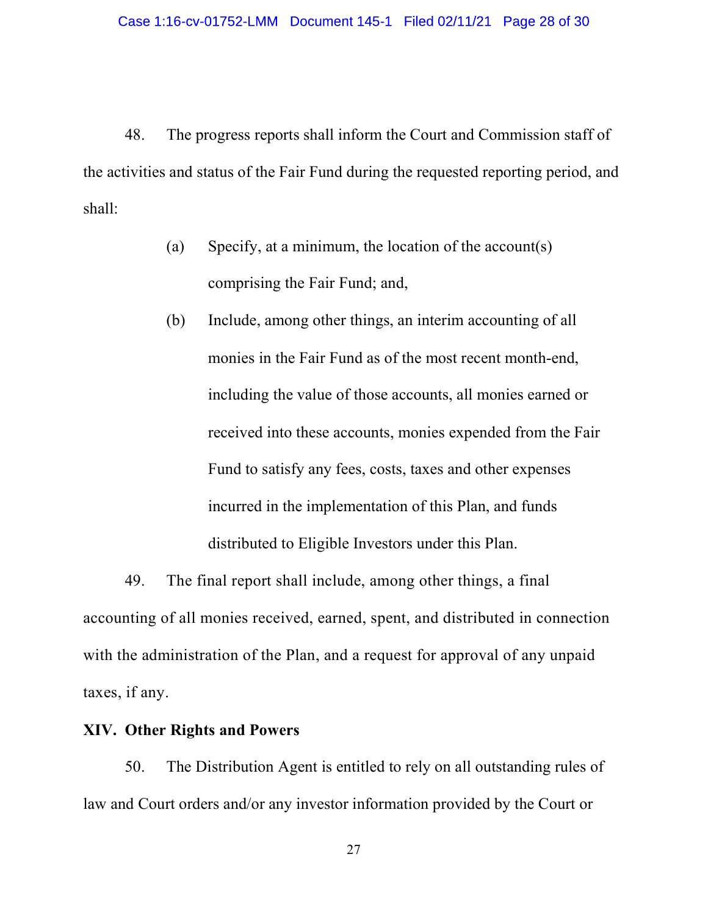28. The progress reports shall inform the Court and Commission staff of invities and status of the Fair Fund during the requested reporting period, and  $\frac{1}{2}$ the activities and status of the Fair Fund during the requested reporting period, and shall:

- (a) Specify, at a minimum, the location of the account(s) comprising the Fair Fund; and,
- (b) Include, among other things, an interim accounting of all monies in the Fair Fund as of the most recent month-end, including the value of those accounts, all monies earned or received into these accounts, monies expended from the Fair Fund to satisfy any fees, costs, taxes and other expenses incurred in the implementation of this Plan, and funds distributed to Eligible Investors under this Plan.

49. The final report shall include, among other things, a final accounting of all monies received, earned, spent, and distributed in connection with the administration of the Plan, and a request for approval of any unpaid taxes, if any.

#### XIV. Other Rights and Powers

50. The Distribution Agent is entitled to rely on all outstanding rules of law and Court orders and/or any investor information provided by the Court or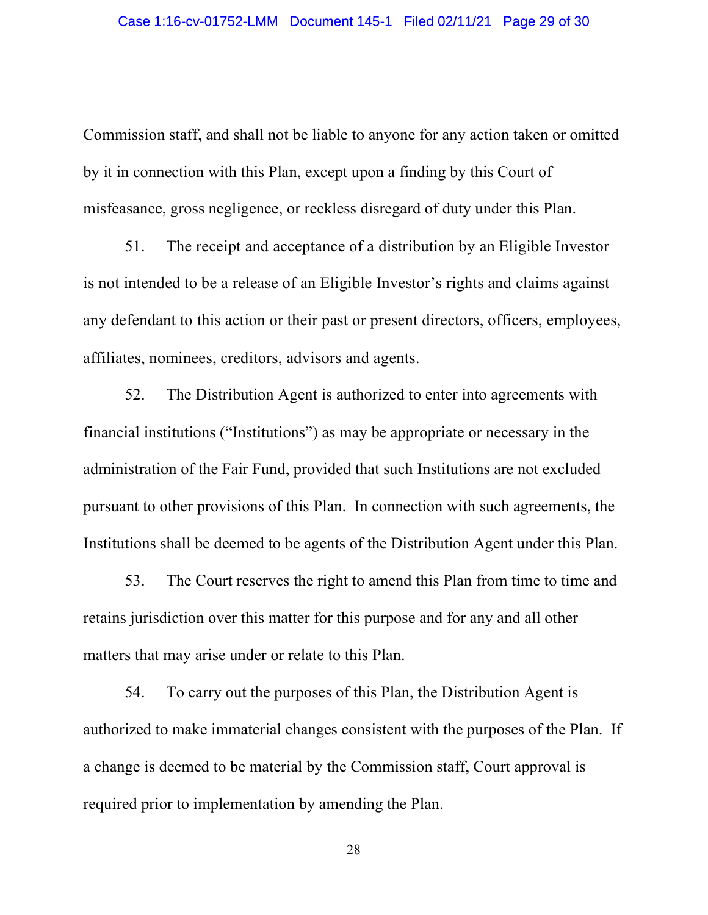Commission staff, and shall not be liable to anyone for any action taken or omitted by it in connection with this Plan, except upon a finding by this Court of misfeasance, gross negligence, or reckless disregard of duty under this Plan.

51. The receipt and acceptance of a distribution by an Eligible Investor is not intended to be a release of an Eligible Investor's rights and claims against any defendant to this action or their past or present directors, officers, employees, affiliates, nominees, creditors, advisors and agents.

52. The Distribution Agent is authorized to enter into agreements with financial institutions ("Institutions") as may be appropriate or necessary in the administration of the Fair Fund, provided that such Institutions are not excluded pursuant to other provisions of this Plan. In connection with such agreements, the Institutions shall be deemed to be agents of the Distribution Agent under this Plan.

53. The Court reserves the right to amend this Plan from time to time and retains jurisdiction over this matter for this purpose and for any and all other matters that may arise under or relate to this Plan.

54. To carry out the purposes of this Plan, the Distribution Agent is authorized to make immaterial changes consistent with the purposes of the Plan. If a change is deemed to be material by the Commission staff, Court approval is required prior to implementation by amending the Plan.